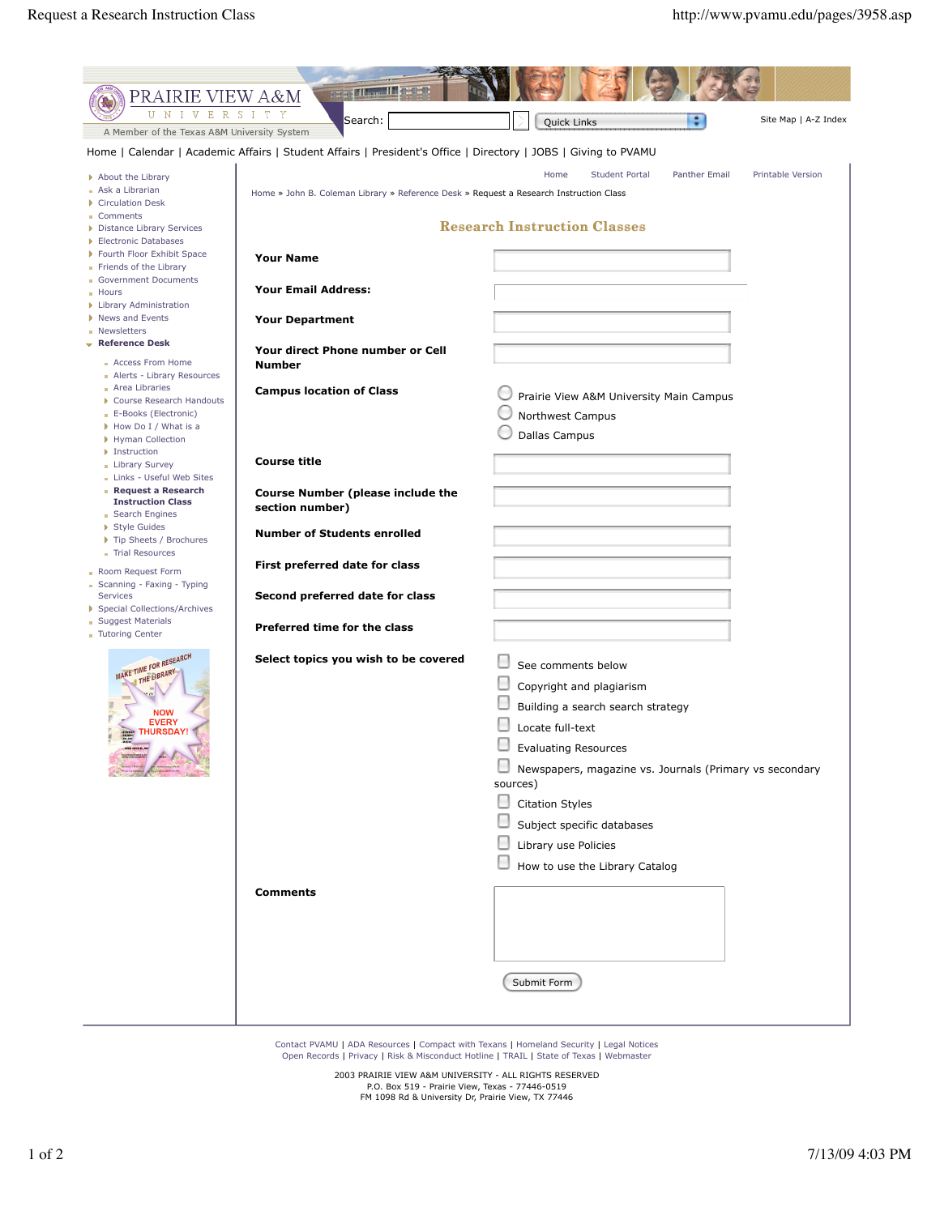| <b>CONTROL</b> BULLETING<br>PRAIRIE VIEW A&M                                                                   |                                                                                        |                                                                            |
|----------------------------------------------------------------------------------------------------------------|----------------------------------------------------------------------------------------|----------------------------------------------------------------------------|
| $U-N$<br>I V E R S I T Y                                                                                       | Search:                                                                                | ٠<br>Site Map   A-Z Index<br>Quick Links                                   |
| A Member of the Texas A&M University System                                                                    |                                                                                        |                                                                            |
| Home   Calendar   Academic Affairs   Student Affairs   President's Office   Directory   JOBS   Giving to PVAMU |                                                                                        |                                                                            |
| About the Library                                                                                              |                                                                                        | Home<br><b>Student Portal</b><br>Panther Email<br><b>Printable Version</b> |
| Ask a Librarian                                                                                                | Home » John B. Coleman Library » Reference Desk » Request a Research Instruction Class |                                                                            |
| Circulation Desk<br>Comments                                                                                   |                                                                                        |                                                                            |
| Distance Library Services                                                                                      |                                                                                        | <b>Research Instruction Classes</b>                                        |
| Electronic Databases<br>Fourth Floor Exhibit Space                                                             |                                                                                        |                                                                            |
| Friends of the Library                                                                                         | <b>Your Name</b>                                                                       |                                                                            |
| Government Documents<br><b>Hours</b>                                                                           | <b>Your Email Address:</b>                                                             |                                                                            |
| Library Administration                                                                                         |                                                                                        |                                                                            |
| News and Events                                                                                                | <b>Your Department</b>                                                                 |                                                                            |
| Newsletters<br>$\bullet$ Reference Desk                                                                        |                                                                                        |                                                                            |
| Access From Home                                                                                               | Your direct Phone number or Cell<br><b>Number</b>                                      |                                                                            |
| Alerts - Library Resources                                                                                     |                                                                                        |                                                                            |
| Area Libraries<br>Course Research Handouts                                                                     | <b>Campus location of Class</b>                                                        | Prairie View A&M University Main Campus                                    |
| E-Books (Electronic)                                                                                           |                                                                                        | Northwest Campus                                                           |
| How Do I / What is a<br>Hyman Collection                                                                       |                                                                                        | Dallas Campus                                                              |
| Instruction                                                                                                    |                                                                                        |                                                                            |
| Library Survey<br>Links - Useful Web Sites                                                                     | <b>Course title</b>                                                                    |                                                                            |
| Request a Research                                                                                             | <b>Course Number (please include the</b>                                               |                                                                            |
| <b>Instruction Class</b><br><b>BEAR</b> Engines                                                                | section number)                                                                        |                                                                            |
| Style Guides                                                                                                   | <b>Number of Students enrolled</b>                                                     |                                                                            |
| Tip Sheets / Brochures<br>Trial Resources                                                                      |                                                                                        |                                                                            |
| Room Request Form                                                                                              | First preferred date for class                                                         |                                                                            |
| Scanning - Faxing - Typing                                                                                     |                                                                                        |                                                                            |
| Services<br>Special Collections/Archives                                                                       | Second preferred date for class                                                        |                                                                            |
| <b>Suggest Materials</b>                                                                                       | Preferred time for the class                                                           |                                                                            |
| <b>Tutoring Center</b>                                                                                         |                                                                                        |                                                                            |
| MAKE TIME FOR RESEARCH                                                                                         | Select topics you wish to be covered                                                   | See comments below                                                         |
| @ THE LIBRARY                                                                                                  |                                                                                        |                                                                            |
|                                                                                                                |                                                                                        | Copyright and plagiarism                                                   |
| <b>NOW</b><br><b>EVERY</b>                                                                                     |                                                                                        | Building a search search strategy                                          |
| <b>URSDAY!</b>                                                                                                 |                                                                                        | Locate full-text                                                           |
|                                                                                                                |                                                                                        | <b>Evaluating Resources</b>                                                |
|                                                                                                                |                                                                                        | Newspapers, magazine vs. Journals (Primary vs secondary                    |
|                                                                                                                |                                                                                        | sources)                                                                   |
|                                                                                                                |                                                                                        | <b>Citation Styles</b>                                                     |
|                                                                                                                |                                                                                        | Subject specific databases                                                 |
|                                                                                                                |                                                                                        | Library use Policies                                                       |
|                                                                                                                |                                                                                        | How to use the Library Catalog                                             |
|                                                                                                                | <b>Comments</b>                                                                        |                                                                            |
|                                                                                                                |                                                                                        |                                                                            |
|                                                                                                                |                                                                                        |                                                                            |
|                                                                                                                |                                                                                        |                                                                            |
|                                                                                                                |                                                                                        |                                                                            |
|                                                                                                                |                                                                                        | Submit Form                                                                |
|                                                                                                                |                                                                                        |                                                                            |
|                                                                                                                |                                                                                        |                                                                            |
|                                                                                                                |                                                                                        |                                                                            |

Contact PVAMU | ADA Resources | Compact with Texans | Homeland Security | Legal Notices<br>Open Records | Privacy | Risk & Misconduct Hotline | TRAIL | State of Texas | Webmaster

2003 PRAIRIE VIEW A&M UNIVERSITY - ALL RIGHTS RESERVED P.O. Box 519 - Prairie View, Texas - 77446-0519 FM 1098 Rd & University Dr, Prairie View, TX 77446